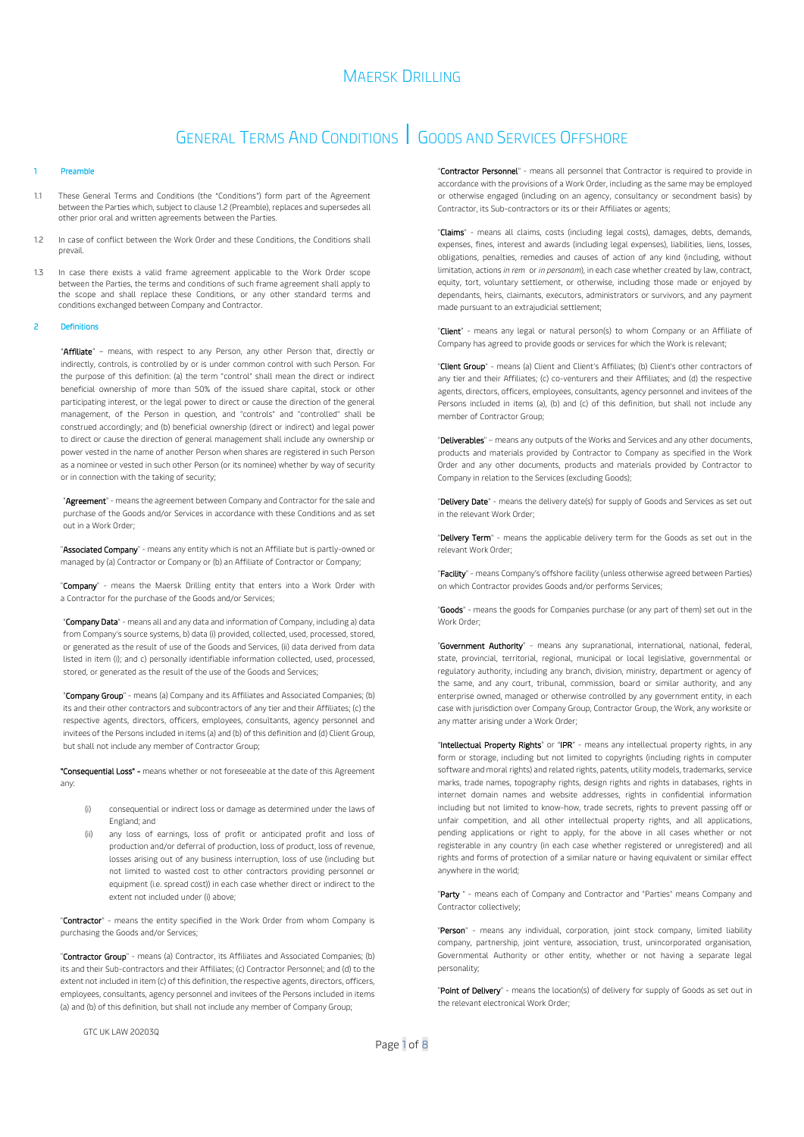## GENERAL TERMS AND CONDITIONS | GOODS AND SERVICES OFFSHORE

### **Preamble**

- 1.1 These General Terms and Conditions (the "Conditions") form part of the Agreement between the Parties which, subject to claus[e 1.2](#page-0-0) (Preamble), replaces and supersedes all other prior oral and written agreements between the Parties.
- <span id="page-0-0"></span>1.2 In case of conflict between the Work Order and these Conditions, the Conditions shall prevail.
- 1.3 In case there exists a valid frame agreement applicable to the Work Order scope between the Parties, the terms and conditions of such frame agreement shall apply to the scope and shall replace these Conditions, or any other standard terms and conditions exchanged between Company and Contractor.

#### **Definitions**

"Affiliate" - means, with respect to any Person, any other Person that, directly or indirectly, controls, is controlled by or is under common control with such Person. For the purpose of this definition: (a) the term "control" shall mean the direct or indirect beneficial ownership of more than 50% of the issued share capital, stock or other participating interest, or the legal power to direct or cause the direction of the general management, of the Person in question, and "controls" and "controlled" shall be construed accordingly; and (b) beneficial ownership (direct or indirect) and legal power to direct or cause the direction of general management shall include any ownership or power vested in the name of another Person when shares are registered in such Person as a nominee or vested in such other Person (or its nominee) whether by way of security or in connection with the taking of security;

"Agreement" - means the agreement between Company and Contractor for the sale and purchase of the Goods and/or Services in accordance with these Conditions and as set out in a Work Order;

"Associated Company" - means any entity which is not an Affiliate but is partly-owned or managed by (a) Contractor or Company or (b) an Affiliate of Contractor or Company;

"Company" - means the Maersk Drilling entity that enters into a Work Order with a Contractor for the purchase of the Goods and/or Services;

"Company Data" - means all and any data and information of Company, including a) data from Company's source systems, b) data (i) provided, collected, used, processed, stored, or generated as the result of use of the Goods and Services, (ii) data derived from data listed in item (i); and c) personally identifiable information collected, used, processed, stored, or generated as the result of the use of the Goods and Services;

"Company Group" - means (a) Company and its Affiliates and Associated Companies; (b) its and their other contractors and subcontractors of any tier and their Affiliates; (c) the respective agents, directors, officers, employees, consultants, agency personnel and invitees of the Persons included in items (a) and (b) of this definition and (d) Client Group, but shall not include any member of Contractor Group;

"Consequential Loss" - means whether or not foreseeable at the date of this Agreement any:

- (i) consequential or indirect loss or damage as determined under the laws of England; and
- (ii) any loss of earnings, loss of profit or anticipated profit and loss of production and/or deferral of production, loss of product, loss of revenue, losses arising out of any business interruption, loss of use (including but not limited to wasted cost to other contractors providing personnel or equipment (i.e. spread cost)) in each case whether direct or indirect to the extent not included under (i) above;

"Contractor" - means the entity specified in the Work Order from whom Company is purchasing the Goods and/or Services;

"Contractor Group" - means (a) Contractor, its Affiliates and Associated Companies; (b) its and their Sub-contractors and their Affiliates; (c) Contractor Personnel; and (d) to the extent not included in item (c) of this definition, the respective agents, directors, officers, employees, consultants, agency personnel and invitees of the Persons included in items (a) and (b) of this definition, but shall not include any member of Company Group;

"Contractor Personnel" - means all personnel that Contractor is required to provide in accordance with the provisions of a Work Order, including as the same may be employed or otherwise engaged (including on an agency, consultancy or secondment basis) by Contractor, its Sub-contractors or its or their Affiliates or agents;

"Claims" - means all claims, costs (including legal costs), damages, debts, demands, expenses, fines, interest and awards (including legal expenses), liabilities, liens, losses, obligations, penalties, remedies and causes of action of any kind (including, without limitation, actions *in rem* or *in personam*), in each case whether created by law, contract, equity, tort, voluntary settlement, or otherwise, including those made or enjoyed by dependants, heirs, claimants, executors, administrators or survivors, and any payment made pursuant to an extrajudicial settlement;

"Client" - means any legal or natural person(s) to whom Company or an Affiliate of Company has agreed to provide goods or services for which the Work is relevant;

"Client Group" - means (a) Client and Client's Affiliates; (b) Client's other contractors of any tier and their Affiliates; (c) co-venturers and their Affiliates; and (d) the respective agents, directors, officers, employees, consultants, agency personnel and invitees of the Persons included in items (a), (b) and (c) of this definition, but shall not include any member of Contractor Group;

"Deliverables" – means any outputs of the Works and Services and any other documents, products and materials provided by Contractor to Company as specified in the Work Order and any other documents, products and materials provided by Contractor to Company in relation to the Services (excluding Goods);

"Delivery Date" - means the delivery date(s) for supply of Goods and Services as set out in the relevant Work Order;

"Delivery Term" - means the applicable delivery term for the Goods as set out in the relevant Work Order;

"Facility" - means Company's offshore facility (unless otherwise agreed between Parties) on which Contractor provides Goods and/or performs Services;

"Goods" - means the goods for Companies purchase (or any part of them) set out in the Work Order;

"Government Authority" - means any supranational, international, national, federal, state, provincial, territorial, regional, municipal or local legislative, governmental or regulatory authority, including any branch, division, ministry, department or agency of the same, and any court, tribunal, commission, board or similar authority, and any enterprise owned, managed or otherwise controlled by any government entity, in each case with jurisdiction over Company Group, Contractor Group, the Work, any worksite or any matter arising under a Work Order;

"Intellectual Property Rights" or "IPR" - means any intellectual property rights, in any form or storage, including but not limited to copyrights (including rights in computer software and moral rights) and related rights, patents, utility models, trademarks, service marks, trade names, topography rights, design rights and rights in databases, rights in internet domain names and website addresses, rights in confidential information including but not limited to know-how, trade secrets, rights to prevent passing off or unfair competition, and all other intellectual property rights, and all applications, pending applications or right to apply, for the above in all cases whether or not registerable in any country (in each case whether registered or unregistered) and all rights and forms of protection of a similar nature or having equivalent or similar effect anywhere in the world;

"Party " - means each of Company and Contractor and "Parties" means Company and Contractor collectively;

"Person" - means any individual, corporation, joint stock company, limited liability company, partnership, joint venture, association, trust, unincorporated organisation, Governmental Authority or other entity, whether or not having a separate legal personality;

"Point of Delivery" - means the location(s) of delivery for supply of Goods as set out in the relevant electronical Work Order;

GTC UK LAW 20203Q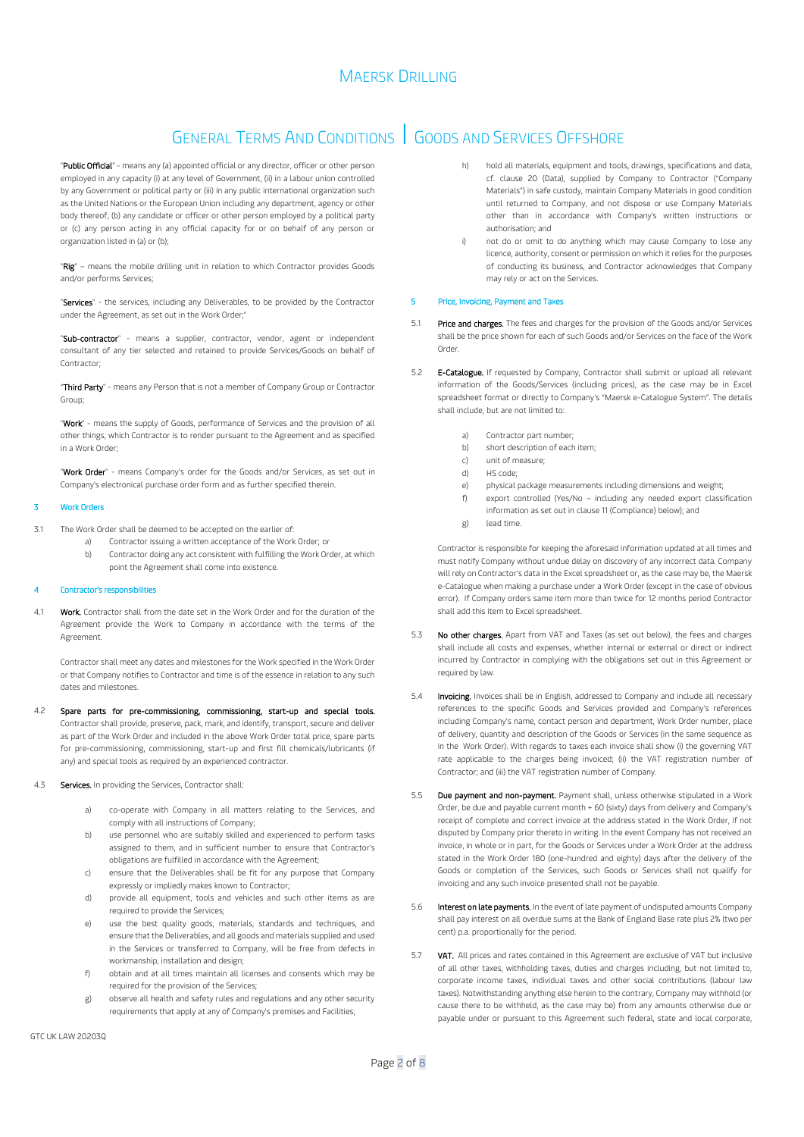# GENERAL TERMS AND CONDITIONS | GOODS AND SERVICES OFFSHORE

"Public Official" - means any (a) appointed official or any director, officer or other person employed in any capacity (i) at any level of Government, (ii) in a labour union controlled by any Government or political party or (iii) in any public international organization such as the United Nations or the European Union including any department, agency or other body thereof, (b) any candidate or officer or other person employed by a political party or (c) any person acting in any official capacity for or on behalf of any person or organization listed in (a) or (b);

"Rig" – means the mobile drilling unit in relation to which Contractor provides Goods and/or performs Services;

"Services" - the services, including any Deliverables, to be provided by the Contractor under the Agreement, as set out in the Work Order;"

"Sub-contractor" - means a supplier, contractor, vendor, agent or independent consultant of any tier selected and retained to provide Services/Goods on behalf of Contractor;

"Third Party" - means any Person that is not a member of Company Group or Contractor Group;

"Work" - means the supply of Goods, performance of Services and the provision of all other things, which Contractor is to render pursuant to the Agreement and as specified in a Work Order;

"Work Order" - means Company's order for the Goods and/or Services, as set out in Company's electronical purchase order form and as further specified therein.

### 3 Work Orders

- 3.1 The Work Order shall be deemed to be accepted on the earlier of:
	- Contractor issuing a written acceptance of the Work Order; or
		- b) Contractor doing any act consistent with fulfilling the Work Order, at which point the Agreement shall come into existence.

### <span id="page-1-4"></span>Contractor's responsibilities

4.1 Work. Contractor shall from the date set in the Work Order and for the duration of the Agreement provide the Work to Company in accordance with the terms of the Agreement.

Contractor shall meet any dates and milestones for the Work specified in the Work Order or that Company notifies to Contractor and time is of the essence in relation to any such dates and milestones.

- 4.2 Spare parts for pre-commissioning, commissioning, start-up and special tools. Contractor shall provide, preserve, pack, mark, and identify, transport, secure and deliver as part of the Work Order and included in the above Work Order total price, spare parts for pre-commissioning, commissioning, start-up and first fill chemicals/lubricants (if any) and special tools as required by an experienced contractor.
- <span id="page-1-2"></span><span id="page-1-1"></span><span id="page-1-0"></span>Services. In providing the Services, Contractor shall
	- a) co-operate with Company in all matters relating to the Services, and comply with all instructions of Company;
	- b) use personnel who are suitably skilled and experienced to perform tasks assigned to them, and in sufficient number to ensure that Contractor's obligations are fulfilled in accordance with the Agreement;
	- c) ensure that the Deliverables shall be fit for any purpose that Company expressly or impliedly makes known to Contractor;
	- d) provide all equipment, tools and vehicles and such other items as are required to provide the Services;
	- e) use the best quality goods, materials, standards and techniques, and ensure that the Deliverables, and all goods and materials supplied and used in the Services or transferred to Company, will be free from defects in workmanship, installation and design;
	- f) obtain and at all times maintain all licenses and consents which may be required for the provision of the Services;
	- g) observe all health and safety rules and regulations and any other security requirements that apply at any of Company's premises and Facilities;
- hold all materials, equipment and tools, drawings, specifications and data cf. clause [20](#page-6-0) (Data), supplied by Company to Contractor ("Company Materials") in safe custody, maintain Company Materials in good condition until returned to Company, and not dispose or use Company Materials other than in accordance with Company's written instructions or authorisation; and
- <span id="page-1-3"></span>not do or omit to do anything which may cause Company to lose any licence, authority, consent or permission on which it relies for the purposes of conducting its business, and Contractor acknowledges that Company may rely or act on the Services.

### <span id="page-1-5"></span>5 Price, Invoicing, Payment and Taxes

- 5.1 Price and charges. The fees and charges for the provision of the Goods and/or Services shall be the price shown for each of such Goods and/or Services on the face of the Work Order.
- 5.2 **E-Catalogue.** If requested by Company, Contractor shall submit or upload all relevant information of the Goods/Services (including prices), as the case may be in Excel spreadsheet format or directly to Company's "Maersk e-Catalogue System". The details shall include, but are not limited to:
	- a) Contractor part number;
	- b) short description of each item;
	- c) unit of measure;
	- d) HS code;
	- e) physical package measurements including dimensions and weight;
	- f) export controlled (Yes/No including any needed export classification information as set out in claus[e 11](#page-4-0) (Compliance) below); and
	- g) lead time.

Contractor is responsible for keeping the aforesaid information updated at all times and must notify Company without undue delay on discovery of any incorrect data. Company will rely on Contractor's data in the Excel spreadsheet or, as the case may be, the Maersk e-Catalogue when making a purchase under a Work Order (except in the case of obvious error). If Company orders same item more than twice for 12 months period Contractor shall add this item to Excel spreadsheet.

- 5.3 No other charges. Apart from VAT and Taxes (as set out below), the fees and charges shall include all costs and expenses, whether internal or external or direct or indirect incurred by Contractor in complying with the obligations set out in this Agreement or required by law.
- 5.4 **Invoicing.** Invoices shall be in English, addressed to Company and include all necessary references to the specific Goods and Services provided and Company's references including Company's name, contact person and department, Work Order number, place of delivery, quantity and description of the Goods or Services (in the same sequence as in the Work Order). With regards to taxes each invoice shall show (i) the governing VAT rate applicable to the charges being invoiced; (ii) the VAT registration number of Contractor; and (iii) the VAT registration number of Company.
- 5.5 **Due payment and non-payment.** Payment shall, unless otherwise stipulated in a Work Order, be due and payable current month + 60 (sixty) days from delivery and Company's receipt of complete and correct invoice at the address stated in the Work Order, if not disputed by Company prior thereto in writing. In the event Company has not received an invoice, in whole or in part, for the Goods or Services under a Work Order at the address stated in the Work Order 180 (one-hundred and eighty) days after the delivery of the Goods or completion of the Services, such Goods or Services shall not qualify for invoicing and any such invoice presented shall not be payable.
- 5.6 Interest on late payments. In the event of late payment of undisputed amounts Company shall pay interest on all overdue sums at the Bank of England Base rate plus 2% (two per cent) p.a. proportionally for the period.
- 5.7 **VAT.** All prices and rates contained in this Agreement are exclusive of VAT but inclusive of all other taxes, withholding taxes, duties and charges including, but not limited to, corporate income taxes, individual taxes and other social contributions (labour law taxes). Notwithstanding anything else herein to the contrary, Company may withhold (or cause there to be withheld, as the case may be) from any amounts otherwise due or payable under or pursuant to this Agreement such federal, state and local corporate,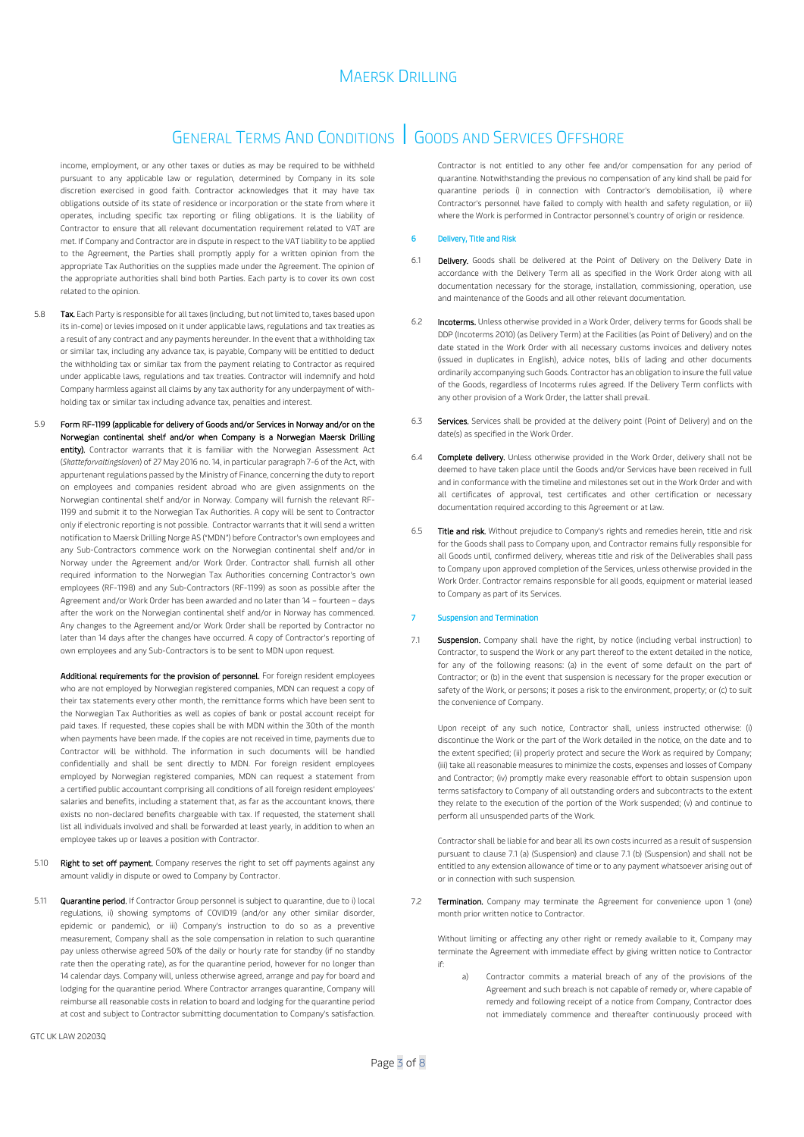## GENERAL TERMS AND CONDITIONS | GOODS AND SERVICES OFFSHORE

income, employment, or any other taxes or duties as may be required to be withheld pursuant to any applicable law or regulation, determined by Company in its sole discretion exercised in good faith. Contractor acknowledges that it may have tax obligations outside of its state of residence or incorporation or the state from where it operates, including specific tax reporting or filing obligations. It is the liability of Contractor to ensure that all relevant documentation requirement related to VAT are met. If Company and Contractor are in dispute in respect to the VAT liability to be applied to the Agreement, the Parties shall promptly apply for a written opinion from the appropriate Tax Authorities on the supplies made under the Agreement. The opinion of the appropriate authorities shall bind both Parties. Each party is to cover its own cost related to the opinion.

- 5.8 Tax. Each Party is responsible for all taxes (including, but not limited to, taxes based upon its in-come) or levies imposed on it under applicable laws, regulations and tax treaties as a result of any contract and any payments hereunder. In the event that a withholding tax or similar tax, including any advance tax, is payable, Company will be entitled to deduct the withholding tax or similar tax from the payment relating to Contractor as required under applicable laws, regulations and tax treaties. Contractor will indemnify and hold Company harmless against all claims by any tax authority for any underpayment of withholding tax or similar tax including advance tax, penalties and interest.
- 5.9 Form RF-1199 (applicable for delivery of Goods and/or Services in Norway and/or on the Norwegian continental shelf and/or when Company is a Norwegian Maersk Drilling entity). Contractor warrants that it is familiar with the Norwegian Assessment Act (*Skatteforvaltingsloven*) of 27 May 2016 no. 14, in particular paragraph 7-6 of the Act, with appurtenant regulations passed by the Ministry of Finance, concerning the duty to report on employees and companies resident abroad who are given assignments on the Norwegian continental shelf and/or in Norway. Company will furnish the relevant RF-1199 and submit it to the Norwegian Tax Authorities. A copy will be sent to Contractor only if electronic reporting is not possible. Contractor warrants that it will send a written notification to Maersk Drilling Norge AS ("MDN") before Contractor's own employees and any Sub-Contractors commence work on the Norwegian continental shelf and/or in Norway under the Agreement and/or Work Order. Contractor shall furnish all other required information to the Norwegian Tax Authorities concerning Contractor's own employees (RF-1198) and any Sub-Contractors (RF-1199) as soon as possible after the Agreement and/or Work Order has been awarded and no later than 14 – fourteen – days after the work on the Norwegian continental shelf and/or in Norway has commenced. Any changes to the Agreement and/or Work Order shall be reported by Contractor no later than 14 days after the changes have occurred. A copy of Contractor's reporting of own employees and any Sub-Contractors is to be sent to MDN upon request.

Additional requirements for the provision of personnel. For foreign resident employees who are not employed by Norwegian registered companies, MDN can request a copy of their tax statements every other month, the remittance forms which have been sent to the Norwegian Tax Authorities as well as copies of bank or postal account receipt for paid taxes. If requested, these copies shall be with MDN within the 30th of the month when payments have been made. If the copies are not received in time, payments due to Contractor will be withhold. The information in such documents will be handled confidentially and shall be sent directly to MDN. For foreign resident employees employed by Norwegian registered companies, MDN can request a statement from a certified public accountant comprising all conditions of all foreign resident employees' salaries and benefits, including a statement that, as far as the accountant knows, there exists no non-declared benefits chargeable with tax. If requested, the statement shall list all individuals involved and shall be forwarded at least yearly, in addition to when an employee takes up or leaves a position with Contractor.

- 5.10 Right to set off payment. Company reserves the right to set off payments against any amount validly in dispute or owed to Company by Contractor.
- 5.11 **Quarantine period.** If Contractor Group personnel is subject to quarantine, due to i) local regulations, ii) showing symptoms of COVID19 (and/or any other similar disorder, epidemic or pandemic), or iii) Company's instruction to do so as a preventive measurement, Company shall as the sole compensation in relation to such quarantine pay unless otherwise agreed 50% of the daily or hourly rate for standby (if no standby rate then the operating rate), as for the quarantine period, however for no longer than 14 calendar days. Company will, unless otherwise agreed, arrange and pay for board and lodging for the quarantine period. Where Contractor arranges quarantine, Company will reimburse all reasonable costs in relation to board and lodging for the quarantine period at cost and subject to Contractor submitting documentation to Company's satisfaction.

Contractor is not entitled to any other fee and/or compensation for any period of quarantine. Notwithstanding the previous no compensation of any kind shall be paid for quarantine periods i) in connection with Contractor's demobilisation, ii) where Contractor's personnel have failed to comply with health and safety regulation, or iii) where the Work is performed in Contractor personnel's country of origin or residence.

### 6 Delivery, Title and Risk

- 6.1 **Delivery.** Goods shall be delivered at the Point of Delivery on the Delivery Date in accordance with the Delivery Term all as specified in the Work Order along with all documentation necessary for the storage, installation, commissioning, operation, use and maintenance of the Goods and all other relevant documentation.
- 6.2 Incoterms. Unless otherwise provided in a Work Order, delivery terms for Goods shall be DDP (Incoterms 2010) (as Delivery Term) at the Facilities (as Point of Delivery) and on the date stated in the Work Order with all necessary customs invoices and delivery notes (issued in duplicates in English), advice notes, bills of lading and other documents ordinarily accompanying such Goods. Contractor has an obligation to insure the full value of the Goods, regardless of Incoterms rules agreed. If the Delivery Term conflicts with any other provision of a Work Order, the latter shall prevail.
- Services. Services shall be provided at the delivery point (Point of Delivery) and on the date(s) as specified in the Work Order.
- 6.4 **Complete delivery.** Unless otherwise provided in the Work Order, delivery shall not be deemed to have taken place until the Goods and/or Services have been received in full and in conformance with the timeline and milestones set out in the Work Order and with all certificates of approval, test certificates and other certification or necessary documentation required according to this Agreement or at law.
- Title and risk. Without prejudice to Company's rights and remedies herein, title and risk for the Goods shall pass to Company upon, and Contractor remains fully responsible for all Goods until, confirmed delivery, whereas title and risk of the Deliverables shall pass to Company upon approved completion of the Services, unless otherwise provided in the Work Order. Contractor remains responsible for all goods, equipment or material leased to Company as part of its Services.

### **Suspension and Termination**

<span id="page-2-0"></span>7.1 Suspension. Company shall have the right, by notice (including verbal instruction) to Contractor, to suspend the Work or any part thereof to the extent detailed in the notice, for any of the following reasons: (a) in the event of some default on the part of Contractor; or (b) in the event that suspension is necessary for the proper execution or safety of the Work, or persons; it poses a risk to the environment, property; or (c) to suit the convenience of Company.

Upon receipt of any such notice, Contractor shall, unless instructed otherwise: (i) discontinue the Work or the part of the Work detailed in the notice, on the date and to the extent specified; (ii) properly protect and secure the Work as required by Company; (iii) take all reasonable measures to minimize the costs, expenses and losses of Company and Contractor; (iv) promptly make every reasonable effort to obtain suspension upon terms satisfactory to Company of all outstanding orders and subcontracts to the extent they relate to the execution of the portion of the Work suspended; (v) and continue to perform all unsuspended parts of the Work.

Contractor shall be liable for and bear all its own costs incurred as a result of suspension pursuant to clause [7.1](#page-2-0) (a) (Suspension) and claus[e 7.1](#page-2-0) (b) (Suspension) and shall not be entitled to any extension allowance of time or to any payment whatsoever arising out of or in connection with such suspension.

7.2 Termination. Company may terminate the Agreement for convenience upon 1 (one) month prior written notice to Contractor.

Without limiting or affecting any other right or remedy available to it, Company may terminate the Agreement with immediate effect by giving written notice to Contractor if:

Contractor commits a material breach of any of the provisions of the Agreement and such breach is not capable of remedy or, where capable of remedy and following receipt of a notice from Company, Contractor does not immediately commence and thereafter continuously proceed with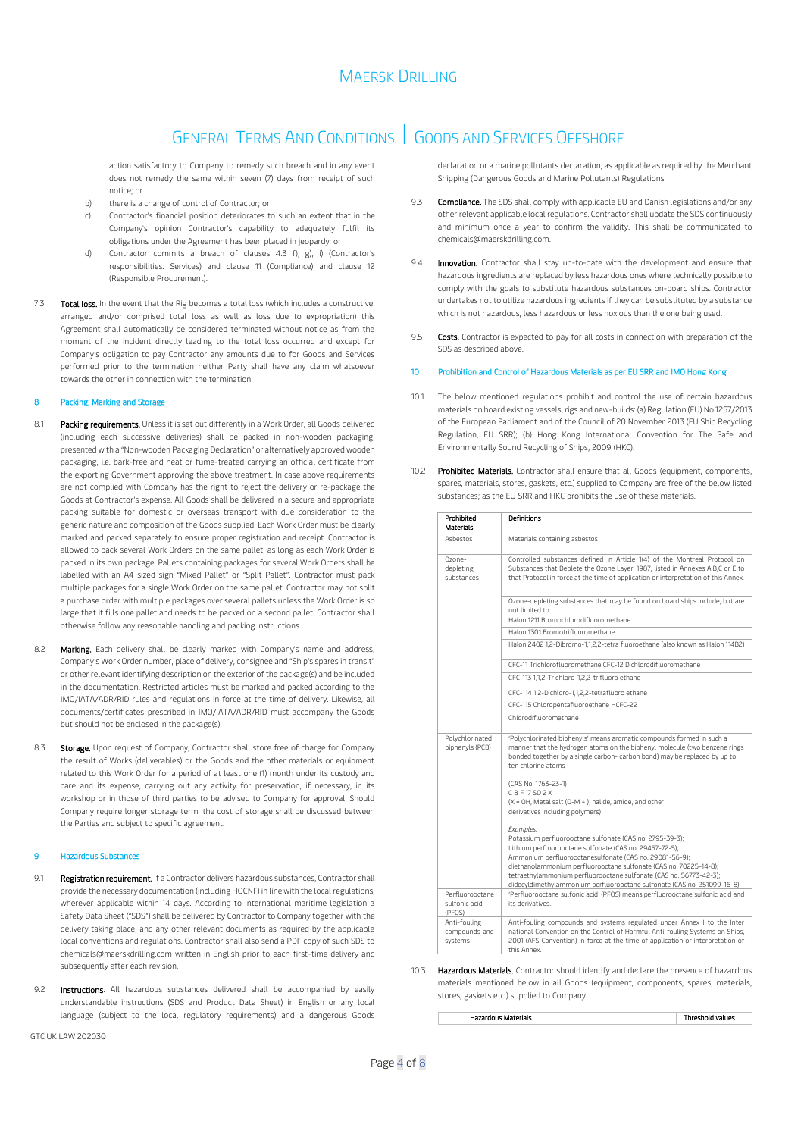## GENERAL TERMS AND CONDITIONS | GOODS AND SERVICES OFFSHORE

action satisfactory to Company to remedy such breach and in any event does not remedy the same within seven (7) days from receipt of such notice; or

- b) there is a change of control of Contractor; or
- c) Contractor's financial position deteriorates to such an extent that in the Company's opinion Contractor's capability to adequately fulfil its obligations under the Agreement has been placed in jeopardy; or
- Contractor commits a breach of clauses [4.3](#page-1-0) [f\),](#page-1-1) [g\),](#page-1-2) [i\)](#page-1-3) (Contractor's responsibilities. Services) and clause [11](#page-4-0) (Compliance) and clause [12](#page-4-1) (Responsible Procurement).
- 7.3 Total loss. In the event that the Rig becomes a total loss (which includes a constructive, arranged and/or comprised total loss as well as loss due to expropriation) this Agreement shall automatically be considered terminated without notice as from the moment of the incident directly leading to the total loss occurred and except for Company's obligation to pay Contractor any amounts due to for Goods and Services performed prior to the termination neither Party shall have any claim whatsoever towards the other in connection with the termination.

### 8 Packing, Marking and Storage

- 8.1 **Packing requirements.** Unless it is set out differently in a Work Order, all Goods delivered (including each successive deliveries) shall be packed in non-wooden packaging, presented with a "Non-wooden Packaging Declaration" or alternatively approved wooden packaging, i.e. bark-free and heat or fume-treated carrying an official certificate from the exporting Government approving the above treatment. In case above requirements are not complied with Company has the right to reject the delivery or re-package the Goods at Contractor's expense. All Goods shall be delivered in a secure and appropriate packing suitable for domestic or overseas transport with due consideration to the generic nature and composition of the Goods supplied. Each Work Order must be clearly marked and packed separately to ensure proper registration and receipt. Contractor is allowed to pack several Work Orders on the same pallet, as long as each Work Order is packed in its own package. Pallets containing packages for several Work Orders shall be labelled with an A4 sized sign "Mixed Pallet" or "Split Pallet". Contractor must pack multiple packages for a single Work Order on the same pallet. Contractor may not split a purchase order with multiple packages over several pallets unless the Work Order is so large that it fills one pallet and needs to be packed on a second pallet. Contractor shall otherwise follow any reasonable handling and packing instructions.
- 8.2 Marking. Each delivery shall be clearly marked with Company's name and address, Company's Work Order number, place of delivery, consignee and "Ship's spares in transit" or other relevant identifying description on the exterior of the package(s) and be included in the documentation. Restricted articles must be marked and packed according to the IMO/IATA/ADR/RID rules and regulations in force at the time of delivery. Likewise, all documents/certificates prescribed in IMO/IATA/ADR/RID must accompany the Goods but should not be enclosed in the package(s).
- 8.3 Storage. Upon request of Company, Contractor shall store free of charge for Company the result of Works (deliverables) or the Goods and the other materials or equipment related to this Work Order for a period of at least one (1) month under its custody and care and its expense, carrying out any activity for preservation, if necessary, in its workshop or in those of third parties to be advised to Company for approval. Should Company require longer storage term, the cost of storage shall be discussed between the Parties and subject to specific agreement.

### <span id="page-3-0"></span>9 Hazardous Substances

- 9.1 Registration requirement. If a Contractor delivers hazardous substances, Contractor shall provide the necessary documentation (including HOCNF) in line with the local regulations, wherever applicable within 14 days. According to international maritime legislation a Safety Data Sheet ("SDS") shall be delivered by Contractor to Company together with the delivery taking place; and any other relevant documents as required by the applicable local conventions and regulations. Contractor shall also send a PDF copy of such SDS to chemicals@maerskdrilling.com written in English prior to each first-time delivery and subsequently after each revision.
- 9.2 **Instructions**. All hazardous substances delivered shall be accompanied by easily understandable instructions (SDS and Product Data Sheet) in English or any local language (subject to the local regulatory requirements) and a dangerous Goods

GTC UK LAW 20203Q

declaration or a marine pollutants declaration, as applicable as required by the Merchant Shipping (Dangerous Goods and Marine Pollutants) Regulations.

- Compliance. The SDS shall comply with applicable EU and Danish legislations and/or any other relevant applicable local regulations. Contractor shall update the SDS continuously and minimum once a year to confirm the validity. This shall be communicated to chemicals@maerskdrilling.com.
- 9.4 **Innovation.** Contractor shall stay up-to-date with the development and ensure that hazardous ingredients are replaced by less hazardous ones where technically possible to comply with the goals to substitute hazardous substances on-board ships. Contractor undertakes not to utilize hazardous ingredients if they can be substituted by a substance which is not hazardous, less hazardous or less noxious than the one being used.
- 9.5 Costs. Contractor is expected to pay for all costs in connection with preparation of the SDS as described above.

#### <span id="page-3-1"></span>10 Prohibition and Control of Hazardous Materials as per EU SRR and IMO Hong Kong

- 10.1 The below mentioned regulations prohibit and control the use of certain hazardous materials on board existing vessels, rigs and new-builds: (a) Regulation (EU) No 1257/2013 of the European Parliament and of the Council of 20 November 2013 (EU Ship Recycling Regulation, EU SRR); (b) Hong Kong International Convention for The Safe and Environmentally Sound Recycling of Ships, 2009 (HKC).
- 10.2 Prohibited Materials. Contractor shall ensure that all Goods (equipment, components, spares, materials, stores, gaskets, etc.) supplied to Company are free of the below listed substances; as the EU SRR and HKC prohibits the use of these materials.

| Prohibited<br><b>Materials</b>             | Definitions                                                                                                                                                                                                                                                                                                                                                                                                       |
|--------------------------------------------|-------------------------------------------------------------------------------------------------------------------------------------------------------------------------------------------------------------------------------------------------------------------------------------------------------------------------------------------------------------------------------------------------------------------|
| Ashestos                                   | Materials containing asbestos                                                                                                                                                                                                                                                                                                                                                                                     |
| $Ozone-$<br>depleting<br>substances        | Controlled substances defined in Article 1(4) of the Montreal Protocol on<br>Substances that Deplete the Ozone Layer, 1987, listed in Annexes A,B,C or E to<br>that Protocol in force at the time of application or interpretation of this Annex.                                                                                                                                                                 |
|                                            | Ozone-depleting substances that may be found on board ships include, but are<br>not limited to:                                                                                                                                                                                                                                                                                                                   |
|                                            | Halon 1211 Bromochlorodifluoromethane                                                                                                                                                                                                                                                                                                                                                                             |
|                                            | Halon 1301 Bromotrifluoromethane                                                                                                                                                                                                                                                                                                                                                                                  |
|                                            | Halon 2402 1,2-Dibromo-1,1,2,2-tetra fluoroethane (also known as Halon 114B2)                                                                                                                                                                                                                                                                                                                                     |
|                                            | CEC-11 Trichlorofluoromethane CEC-12 Dichlorodifluoromethane                                                                                                                                                                                                                                                                                                                                                      |
|                                            | CFC-113 1,1,2-Trichloro-1,2,2-trifluoro ethane                                                                                                                                                                                                                                                                                                                                                                    |
|                                            | CFC-114 1,2-Dichloro-1,1,2,2-tetrafluoro ethane                                                                                                                                                                                                                                                                                                                                                                   |
|                                            | CFC-115 Chloropentafluoroethane HCFC-22                                                                                                                                                                                                                                                                                                                                                                           |
|                                            | Chlorodifluoromethane                                                                                                                                                                                                                                                                                                                                                                                             |
| Polychlorinated<br>biphenyls (PCB)         | 'Polychlorinated biphenyls' means aromatic compounds formed in such a<br>manner that the hydrogen atoms on the biphenyl molecule (two benzene rings<br>bonded together by a single carbon- carbon bond) may be replaced by up to<br>ten chlorine atoms                                                                                                                                                            |
|                                            | (CAS No: 1763-23-1)                                                                                                                                                                                                                                                                                                                                                                                               |
|                                            | C 8 F 17 SO 2 X                                                                                                                                                                                                                                                                                                                                                                                                   |
|                                            | (X = OH, Metal salt (O-M + ), halide, amide, and other<br>derivatives including polymers)                                                                                                                                                                                                                                                                                                                         |
|                                            | Examples:<br>Potassium perfluorooctane sulfonate (CAS no. 2795-39-3);<br>Lithium perfluorooctane sulfonate (CAS no. 29457-72-5);<br>Ammonium perfluorooctanesulfonate (CAS no. 29081-56-9);<br>diethanolammonium perfluorooctane sulfonate (CAS no. 70225-14-8);<br>tetraethylammonium perfluorooctane sulfonate (CAS no. 56773-42-3);<br>didecyldimethylammonium perfluorooctane sulfonate (CAS no. 251099-16-8) |
| Perfluorooctane<br>sulfonic acid<br>(PFOS) | 'Perfluorooctane sulfonic acid' (PFOS) means perfluorooctane sulfonic acid and<br>Pevitavites at                                                                                                                                                                                                                                                                                                                  |
| Anti-fouling<br>compounds and<br>systems   | Anti-fouling compounds and systems regulated under Annex I to the Inter<br>national Convention on the Control of Harmful Anti-fouling Systems on Ships,<br>2001 (AFS Convention) in force at the time of application or interpretation of<br>this Annex                                                                                                                                                           |

10.3 **Hazardous Materials.** Contractor should identify and declare the presence of hazardous materials mentioned below in all Goods (equipment, components, spares, materials, stores, gaskets etc.) supplied to Company.

Hazardous Materials Threshold values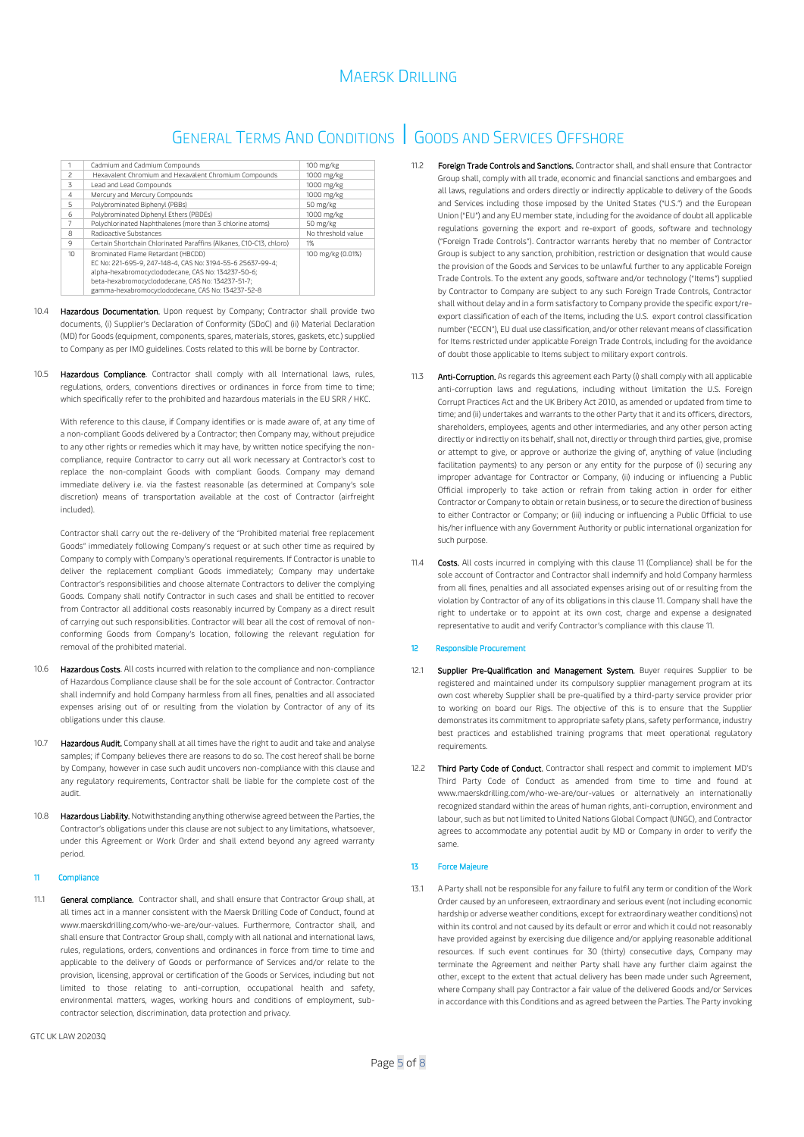## GENERAL TERMS AND CONDITIONS | GOODS AND SERVICES OFFSHORE

|                          | Cadmium and Cadmium Compounds                                                                                                                                                                                                                                    | 100 mg/kg          |
|--------------------------|------------------------------------------------------------------------------------------------------------------------------------------------------------------------------------------------------------------------------------------------------------------|--------------------|
| $\overline{\phantom{a}}$ | Hexavalent Chromium and Hexavalent Chromium Compounds                                                                                                                                                                                                            | 1000 mg/kg         |
| $\overline{z}$           | Lead and Lead Compounds                                                                                                                                                                                                                                          | 1000 mg/kg         |
| $\overline{4}$           | Mercury and Mercury Compounds                                                                                                                                                                                                                                    | 1000 mg/kg         |
| 5                        | Polybrominated Biphenyl (PBBs)                                                                                                                                                                                                                                   | 50 mg/kg           |
| 6                        | Polybrominated Diphenyl Ethers (PBDEs)                                                                                                                                                                                                                           | 1000 mg/kg         |
|                          | Polychlorinated Naphthalenes (more than 3 chlorine atoms)                                                                                                                                                                                                        | 50 mg/kg           |
| R                        | <b>Radioactive Substances</b>                                                                                                                                                                                                                                    | No threshold value |
| 9                        | Certain Shortchain Chlorinated Paraffins (Alkanes, C10-C13, chloro)                                                                                                                                                                                              | 1%                 |
| 10                       | Brominated Flame Retardant (HBCDD)<br>EC No: 221-695-9, 247-148-4, CAS No: 3194-55-6 25637-99-4;<br>alpha-hexabromocyclododecane, CAS No: 134237-50-6;<br>beta-hexabromocyclododecane, CAS No: 134237-51-7;<br>gamma-hexabromocyclododecane, CAS No: 134237-52-8 | 100 mg/kg (0.01%)  |

- $10.4$ Hazardous Documentation. Upon request by Company; Contractor shall provide two documents, (i) Supplier's Declaration of Conformity (SDoC) and (ii) Material Declaration (MD) for Goods (equipment, components, spares, materials, stores, gaskets, etc.) supplied to Company as per IMO guidelines. Costs related to this will be borne by Contractor.
- 10.5 Hazardous Compliance. Contractor shall comply with all International laws, rules, regulations, orders, conventions directives or ordinances in force from time to time; which specifically refer to the prohibited and hazardous materials in the EU SRR / HKC.

With reference to this clause, if Company identifies or is made aware of, at any time of a non-compliant Goods delivered by a Contractor; then Company may, without prejudice to any other rights or remedies which it may have, by written notice specifying the noncompliance, require Contractor to carry out all work necessary at Contractor's cost to replace the non-complaint Goods with compliant Goods. Company may demand immediate delivery i.e. via the fastest reasonable (as determined at Company's sole discretion) means of transportation available at the cost of Contractor (airfreight included).

Contractor shall carry out the re-delivery of the "Prohibited material free replacement Goods" immediately following Company's request or at such other time as required by Company to comply with Company's operational requirements. If Contractor is unable to deliver the replacement compliant Goods immediately; Company may undertake Contractor's responsibilities and choose alternate Contractors to deliver the complying Goods. Company shall notify Contractor in such cases and shall be entitled to recover from Contractor all additional costs reasonably incurred by Company as a direct result of carrying out such responsibilities. Contractor will bear all the cost of removal of nonconforming Goods from Company's location, following the relevant regulation for removal of the prohibited material.

- 10.6 **Hazardous Costs.** All costs incurred with relation to the compliance and non-compliance of Hazardous Compliance clause shall be for the sole account of Contractor. Contractor shall indemnify and hold Company harmless from all fines, penalties and all associated expenses arising out of or resulting from the violation by Contractor of any of its obligations under this clause.
- 10.7 Hazardous Audit. Company shall at all times have the right to audit and take and analyse samples; if Company believes there are reasons to do so. The cost hereof shall be borne by Company, however in case such audit uncovers non-compliance with this clause and any regulatory requirements, Contractor shall be liable for the complete cost of the audit.
- 10.8 **Hazardous Liability.** Notwithstanding anything otherwise agreed between the Parties, the Contractor's obligations under this clause are not subject to any limitations, whatsoever, under this Agreement or Work Order and shall extend beyond any agreed warranty period.

### <span id="page-4-0"></span>11 Compliance

11.1 General compliance. Contractor shall, and shall ensure that Contractor Group shall, at all times act in a manner consistent with the Maersk Drilling Code of Conduct, found at www.maerskdrilling.com/who-we-are/our-values. Furthermore, Contractor shall, and shall ensure that Contractor Group shall, comply with all national and international laws, rules, regulations, orders, conventions and ordinances in force from time to time and applicable to the delivery of Goods or performance of Services and/or relate to the provision, licensing, approval or certification of the Goods or Services, including but not limited to those relating to anti-corruption, occupational health and safety, environmental matters, wages, working hours and conditions of employment, subcontractor selection, discrimination, data protection and privacy.

- 11.2 Foreign Trade Controls and Sanctions. Contractor shall, and shall ensure that Contractor Group shall, comply with all trade, economic and financial sanctions and embargoes and all laws, regulations and orders directly or indirectly applicable to delivery of the Goods and Services including those imposed by the United States ("U.S.") and the European Union ("EU") and any EU member state, including for the avoidance of doubt all applicable regulations governing the export and re-export of goods, software and technology ("Foreign Trade Controls"). Contractor warrants hereby that no member of Contractor Group is subject to any sanction, prohibition, restriction or designation that would cause the provision of the Goods and Services to be unlawful further to any applicable Foreign Trade Controls. To the extent any goods, software and/or technology ("Items") supplied by Contractor to Company are subject to any such Foreign Trade Controls, Contractor shall without delay and in a form satisfactory to Company provide the specific export/reexport classification of each of the Items, including the U.S. export control classification number ("ECCN"), EU dual use classification, and/or other relevant means of classification for Items restricted under applicable Foreign Trade Controls, including for the avoidance of doubt those applicable to Items subject to military export controls.
- 11.3 Anti-Corruption. As regards this agreement each Party (i) shall comply with all applicable anti-corruption laws and regulations, including without limitation the U.S. Foreign Corrupt Practices Act and the UK Bribery Act 2010, as amended or updated from time to time; and (ii) undertakes and warrants to the other Party that it and its officers, directors, shareholders, employees, agents and other intermediaries, and any other person acting directly or indirectly on its behalf, shall not, directly or through third parties, give, promise or attempt to give, or approve or authorize the giving of, anything of value (including facilitation payments) to any person or any entity for the purpose of (i) securing any improper advantage for Contractor or Company, (ii) inducing or influencing a Public Official improperly to take action or refrain from taking action in order for either Contractor or Company to obtain or retain business, or to secure the direction of business to either Contractor or Company; or (iii) inducing or influencing a Public Official to use his/her influence with any Government Authority or public international organization for such purpose.
- 11.4 **Costs.** All costs incurred in complying with this claus[e 11](#page-4-0) (Compliance) shall be for the sole account of Contractor and Contractor shall indemnify and hold Company harmless from all fines, penalties and all associated expenses arising out of or resulting from the violation by Contractor of any of its obligations in this clause [11.](#page-4-0) Company shall have the right to undertake or to appoint at its own cost, charge and expense a designated representative to audit and verify Contractor's compliance with this clause [11.](#page-4-0)

### <span id="page-4-1"></span>12 Responsible Procurement

- 12.1 Supplier Pre-Qualification and Management System. Buyer requires Supplier to be registered and maintained under its compulsory supplier management program at its own cost whereby Supplier shall be pre-qualified by a third-party service provider prior to working on board our Rigs. The objective of this is to ensure that the Supplier demonstrates its commitment to appropriate safety plans, safety performance, industry best practices and established training programs that meet operational regulatory requirements.
- 12.2 Third Party Code of Conduct. Contractor shall respect and commit to implement MD's Third Party Code of Conduct as amended from time to time and found at www.maerskdrilling.com/who-we-are/our-values or alternatively an internationally recognized standard within the areas of human rights, anti-corruption, environment and labour, such as but not limited to United Nations Global Compact (UNGC), and Contractor agrees to accommodate any potential audit by MD or Company in order to verify the same.

#### 13 Force Majeure

13.1 A Party shall not be responsible for any failure to fulfil any term or condition of the Work Order caused by an unforeseen, extraordinary and serious event (not including economic hardship or adverse weather conditions, except for extraordinary weather conditions) not within its control and not caused by its default or error and which it could not reasonably have provided against by exercising due diligence and/or applying reasonable additional resources. If such event continues for 30 (thirty) consecutive days, Company may terminate the Agreement and neither Party shall have any further claim against the other, except to the extent that actual delivery has been made under such Agreement, where Company shall pay Contractor a fair value of the delivered Goods and/or Services in accordance with this Conditions and as agreed between the Parties. The Party invoking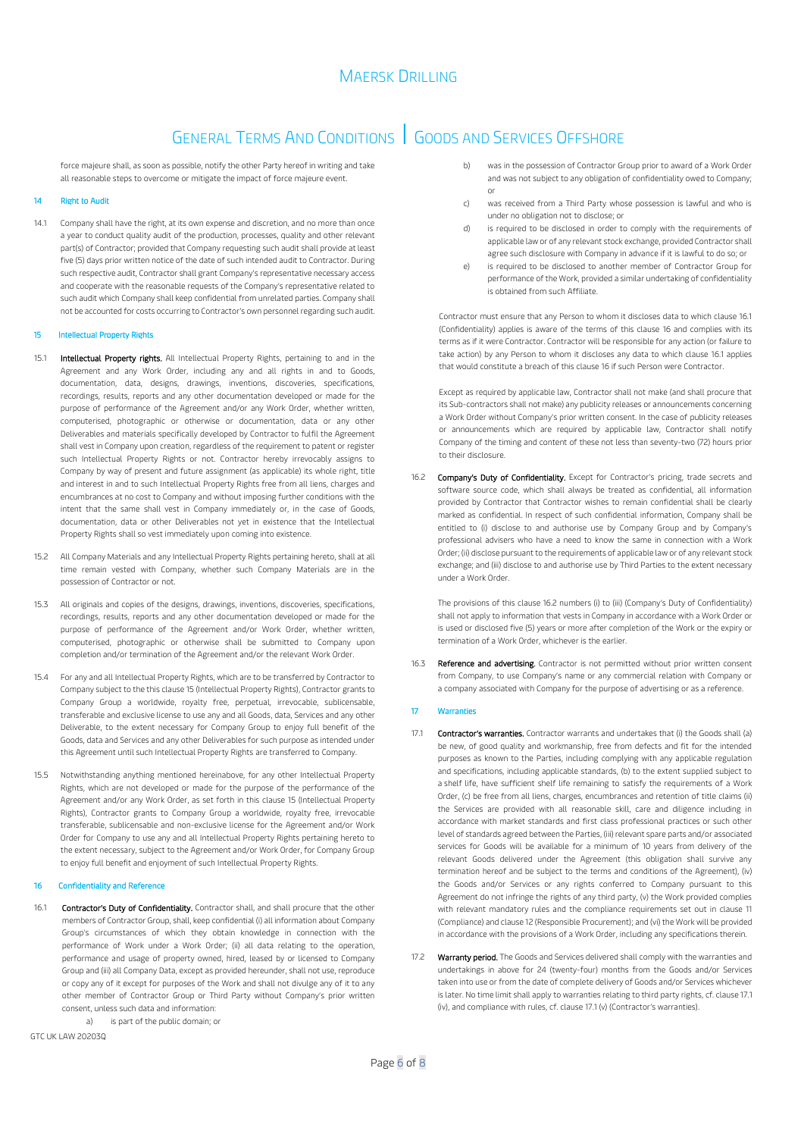## GENERAL TERMS AND CONDITIONS | GOODS AND SERVICES OFFSHORE

force majeure shall, as soon as possible, notify the other Party hereof in writing and take all reasonable steps to overcome or mitigate the impact of force majeure event.

### 14 Right to Audit

14.1 Company shall have the right, at its own expense and discretion, and no more than once a year to conduct quality audit of the production, processes, quality and other relevant part(s) of Contractor; provided that Company requesting such audit shall provide at least five (5) days prior written notice of the date of such intended audit to Contractor. During such respective audit, Contractor shall grant Company's representative necessary access and cooperate with the reasonable requests of the Company's representative related to such audit which Company shall keep confidential from unrelated parties. Company shall not be accounted for costs occurring to Contractor's own personnel regarding such audit.

### <span id="page-5-0"></span>15 Intellectual Property Rights

- 15.1 Intellectual Property rights. All Intellectual Property Rights, pertaining to and in the Agreement and any Work Order, including any and all rights in and to Goods, documentation, data, designs, drawings, inventions, discoveries, specifications, recordings, results, reports and any other documentation developed or made for the purpose of performance of the Agreement and/or any Work Order, whether written, computerised, photographic or otherwise or documentation, data or any other Deliverables and materials specifically developed by Contractor to fulfil the Agreement shall vest in Company upon creation, regardless of the requirement to patent or register such Intellectual Property Rights or not. Contractor hereby irrevocably assigns to Company by way of present and future assignment (as applicable) its whole right, title and interest in and to such Intellectual Property Rights free from all liens, charges and encumbrances at no cost to Company and without imposing further conditions with the intent that the same shall vest in Company immediately or, in the case of Goods, documentation, data or other Deliverables not yet in existence that the Intellectual Property Rights shall so vest immediately upon coming into existence.
- 15.2 All Company Materials and any Intellectual Property Rights pertaining hereto, shall at all time remain vested with Company, whether such Company Materials are in the possession of Contractor or not.
- 15.3 All originals and copies of the designs, drawings, inventions, discoveries, specifications, recordings, results, reports and any other documentation developed or made for the purpose of performance of the Agreement and/or Work Order, whether written, computerised, photographic or otherwise shall be submitted to Company upon completion and/or termination of the Agreement and/or the relevant Work Order.
- 15.4 For any and all Intellectual Property Rights, which are to be transferred by Contractor to Company subject to the this claus[e 15](#page-5-0) (Intellectual Property Rights), Contractor grants to Company Group a worldwide, royalty free, perpetual, irrevocable, sublicensable, transferable and exclusive license to use any and all Goods, data, Services and any other Deliverable, to the extent necessary for Company Group to enjoy full benefit of the Goods, data and Services and any other Deliverables for such purpose as intended under this Agreement until such Intellectual Property Rights are transferred to Company.
- 15.5 Notwithstanding anything mentioned hereinabove, for any other Intellectual Property Rights, which are not developed or made for the purpose of the performance of the Agreement and/or any Work Order, as set forth in this claus[e 15](#page-5-0) (Intellectual Property Rights), Contractor grants to Company Group a worldwide, royalty free, irrevocable transferable, sublicensable and non-exclusive license for the Agreement and/or Work Order for Company to use any and all Intellectual Property Rights pertaining hereto to the extent necessary, subject to the Agreement and/or Work Order, for Company Group to enjoy full benefit and enjoyment of such Intellectual Property Rights.

### <span id="page-5-2"></span>16 Confidentiality and Reference

<span id="page-5-1"></span>16.1 Contractor's Duty of Confidentiality. Contractor shall, and shall procure that the other members of Contractor Group, shall, keep confidential (i) all information about Company Group's circumstances of which they obtain knowledge in connection with the performance of Work under a Work Order; (ii) all data relating to the operation, performance and usage of property owned, hired, leased by or licensed to Company Group and (iii) all Company Data, except as provided hereunder, shall not use, reproduce or copy any of it except for purposes of the Work and shall not divulge any of it to any other member of Contractor Group or Third Party without Company's prior written consent, unless such data and information:

a) is part of the public domain; or

GTC UK LAW 20203Q

- b) was in the possession of Contractor Group prior to award of a Work Order and was not subject to any obligation of confidentiality owed to Company; or
- c) was received from a Third Party whose possession is lawful and who is under no obligation not to disclose; or
- d) is required to be disclosed in order to comply with the requirements of applicable law or of any relevant stock exchange, provided Contractor shall agree such disclosure with Company in advance if it is lawful to do so; or
- e) is required to be disclosed to another member of Contractor Group for performance of the Work, provided a similar undertaking of confidentiality is obtained from such Affiliate.

Contractor must ensure that any Person to whom it discloses data to which claus[e 16.1](#page-5-1) (Confidentiality) applies is aware of the terms of this clause [16](#page-5-2) and complies with its terms as if it were Contractor. Contractor will be responsible for any action (or failure to take action) by any Person to whom it discloses any data to which clause [16.1](#page-5-1) applies that would constitute a breach of this claus[e 16](#page-5-2) if such Person were Contractor.

Except as required by applicable law, Contractor shall not make (and shall procure that its Sub-contractors shall not make) any publicity releases or announcements concerning a Work Order without Company's prior written consent. In the case of publicity releases or announcements which are required by applicable law, Contractor shall notify Company of the timing and content of these not less than seventy-two (72) hours prior to their disclosure.

<span id="page-5-3"></span>16.2 Company's Duty of Confidentiality. Except for Contractor's pricing, trade secrets and software source code, which shall always be treated as confidential, all information provided by Contractor that Contractor wishes to remain confidential shall be clearly marked as confidential. In respect of such confidential information, Company shall be entitled to (i) disclose to and authorise use by Company Group and by Company's professional advisers who have a need to know the same in connection with a Work Order; (ii) disclose pursuant to the requirements of applicable law or of any relevant stock exchange; and (iii) disclose to and authorise use by Third Parties to the extent necessary under a Work Order.

The provisions of this claus[e 16.2](#page-5-3) numbers (i) to (iii) (Company's Duty of Confidentiality) shall not apply to information that vests in Company in accordance with a Work Order or is used or disclosed five (5) years or more after completion of the Work or the expiry or termination of a Work Order, whichever is the earlier.

Reference and advertising. Contractor is not permitted without prior written consent from Company, to use Company's name or any commercial relation with Company or a company associated with Company for the purpose of advertising or as a reference.

#### <span id="page-5-5"></span>17 Warranties

- <span id="page-5-4"></span>17.1 **Contractor's warranties.** Contractor warrants and undertakes that (i) the Goods shall (a) be new, of good quality and workmanship, free from defects and fit for the intended purposes as known to the Parties, including complying with any applicable regulation and specifications, including applicable standards, (b) to the extent supplied subject to a shelf life, have sufficient shelf life remaining to satisfy the requirements of a Work Order, (c) be free from all liens, charges, encumbrances and retention of title claims (ii) the Services are provided with all reasonable skill, care and diligence including in accordance with market standards and first class professional practices or such other level of standards agreed between the Parties, (iii) relevant spare parts and/or associated services for Goods will be available for a minimum of 10 years from delivery of the relevant Goods delivered under the Agreement (this obligation shall survive any termination hereof and be subject to the terms and conditions of the Agreement), (iv) the Goods and/or Services or any rights conferred to Company pursuant to this Agreement do not infringe the rights of any third party, (v) the Work provided complies with relevant mandatory rules and the compliance requirements set out in claus[e 11](#page-4-0) (Compliance) and claus[e 12](#page-4-1) (Responsible Procurement); and (vi) the Work will be provided in accordance with the provisions of a Work Order, including any specifications therein.
- 17.2 Warranty period. The Goods and Services delivered shall comply with the warranties and undertakings in above for 24 (twenty-four) months from the Goods and/or Services taken into use or from the date of complete delivery of Goods and/or Services whichever is later. No time limit shall apply to warranties relating to third party rights, cf. claus[e 17.1](#page-5-4) (iv), and compliance with rules, cf. claus[e 17.1](#page-5-4) (v) (Contractor's warranties).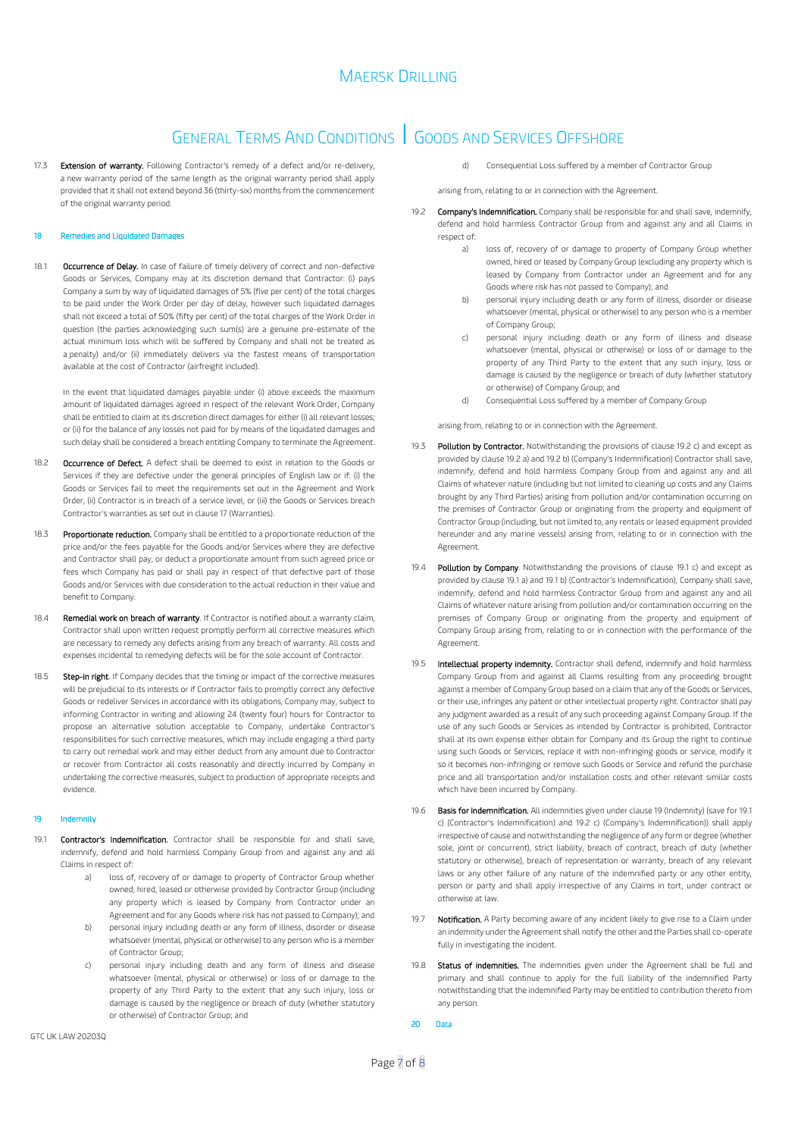## GENERAL TERMS AND CONDITIONS | GOODS AND SERVICES OFFSHORE

17.3 Extension of warranty. Following Contractor's remedy of a defect and/or re-delivery, a new warranty period of the same length as the original warranty period shall apply provided that it shall not extend beyond 36 (thirty-six) months from the commencement of the original warranty period.

### 18 Remedies and Liquidated Dama

18.1 Occurrence of Delay. In case of failure of timely delivery of correct and non-defective Goods or Services, Company may at its discretion demand that Contractor: (i) pays Company a sum by way of liquidated damages of 5% (five per cent) of the total charges to be paid under the Work Order per day of delay, however such liquidated damages shall not exceed a total of 50% (fifty per cent) of the total charges of the Work Order in question (the parties acknowledging such sum(s) are a genuine pre-estimate of the actual minimum loss which will be suffered by Company and shall not be treated as a penalty) and/or (ii) immediately delivers via the fastest means of transportation available at the cost of Contractor (airfreight included).

In the event that liquidated damages payable under (i) above exceeds the maximum amount of liquidated damages agreed in respect of the relevant Work Order, Company shall be entitled to claim at its discretion direct damages for either (i) all relevant losses; or (ii) for the balance of any losses not paid for by means of the liquidated damages and such delay shall be considered a breach entitling Company to terminate the Agreement.

- 18.2 Occurrence of Defect. A defect shall be deemed to exist in relation to the Goods or Services if they are defective under the general principles of English law or if: (i) the Goods or Services fail to meet the requirements set out in the Agreement and Work Order, (ii) Contractor is in breach of a service level, or (iii) the Goods or Services breach Contractor's warranties as set out in claus[e 17](#page-5-5) (Warranties).
- 18.3 Proportionate reduction. Company shall be entitled to a proportionate reduction of the price and/or the fees payable for the Goods and/or Services where they are defective and Contractor shall pay, or deduct a proportionate amount from such agreed price or fees which Company has paid or shall pay in respect of that defective part of those Goods and/or Services with due consideration to the actual reduction in their value and benefit to Company.
- 18.4 Remedial work on breach of warranty. If Contractor is notified about a warranty claim, Contractor shall upon written request promptly perform all corrective measures which are necessary to remedy any defects arising from any breach of warranty. All costs and expenses incidental to remedying defects will be for the sole account of Contractor.
- 18.5 **Step-in right**. If Company decides that the timing or impact of the corrective measures will be prejudicial to its interests or if Contractor fails to promptly correct any defective Goods or redeliver Services in accordance with its obligations, Company may, subject to informing Contractor in writing and allowing 24 (twenty four) hours for Contractor to propose an alternative solution acceptable to Company, undertake Contractor's responsibilities for such corrective measures, which may include engaging a third party to carry out remedial work and may either deduct from any amount due to Contractor or recover from Contractor all costs reasonably and directly incurred by Company in undertaking the corrective measures, subject to production of appropriate receipts and evidence.

#### <span id="page-6-9"></span>Indemnity

- <span id="page-6-8"></span><span id="page-6-7"></span><span id="page-6-6"></span><span id="page-6-5"></span>19.1 **Contractor's Indemnification.** Contractor shall be responsible for and shall save, indemnify, defend and hold harmless Company Group from and against any and all Claims in respect of:
	- a) loss of, recovery of or damage to property of Contractor Group whether owned, hired, leased or otherwise provided by Contractor Group (including any property which is leased by Company from Contractor under an Agreement and for any Goods where risk has not passed to Company); and
	- b) personal injury including death or any form of illness, disorder or disease whatsoever (mental, physical or otherwise) to any person who is a member of Contractor Group;
	- c) personal injury including death and any form of illness and disease whatsoever (mental, physical or otherwise) or loss of or damage to the property of any Third Party to the extent that any such injury, loss or damage is caused by the negligence or breach of duty (whether statutory or otherwise) of Contractor Group; and

d) Consequential Loss suffered by a member of Contractor Group

arising from, relating to or in connection with the Agreement.

- <span id="page-6-4"></span><span id="page-6-3"></span><span id="page-6-1"></span>19.2 Company's Indemnification. Company shall be responsible for and shall save, indemnify, defend and hold harmless Contractor Group from and against any and all Claims in respect of:
	- a) loss of, recovery of or damage to property of Company Group whether owned, hired or leased by Company Group (excluding any property which is leased by Company from Contractor under an Agreement and for any Goods where risk has not passed to Company); and
	- b) personal injury including death or any form of illness, disorder or disease whatsoever (mental, physical or otherwise) to any person who is a member of Company Group;
	- c) personal injury including death or any form of illness and disease whatsoever (mental, physical or otherwise) or loss of or damage to the property of any Third Party to the extent that any such injury, loss or damage is caused by the negligence or breach of duty (whether statutory or otherwise) of Company Group; and
	- d) Consequential Loss suffered by a member of Company Group

<span id="page-6-2"></span>arising from, relating to or in connection with the Agreement.

- 19.3 Pollution by Contractor. Notwithstanding the provisions of claus[e 19.2](#page-6-1) [c\)](#page-6-2) and except as provided by claus[e 19.2](#page-6-1) [a\)](#page-6-3) an[d 19.2](#page-6-1) [b\)](#page-6-4) (Company's Indemnification) Contractor shall save, indemnify, defend and hold harmless Company Group from and against any and all Claims of whatever nature (including but not limited to cleaning up costs and any Claims brought by any Third Parties) arising from pollution and/or contamination occurring on the premises of Contractor Group or originating from the property and equipment of Contractor Group (including, but not limited to, any rentals or leased equipment provided hereunder and any marine vessels) arising from, relating to or in connection with the Agreement.
- 19.4 Pollution by Company. Notwithstanding the provisions of clause [19.1](#page-6-5) [c\)](#page-6-6) and except as provided by claus[e 19.1](#page-6-5) [a\)](#page-6-7) an[d 19.1](#page-6-5) [b\)](#page-6-8) (Contractor's Indemnification), Company shall save, indemnify, defend and hold harmless Contractor Group from and against any and all Claims of whatever nature arising from pollution and/or contamination occurring on the premises of Company Group or originating from the property and equipment of Company Group arising from, relating to or in connection with the performance of the Agreement.
- 19.5 Intellectual property indemnity. Contractor shall defend, indemnify and hold harmless Company Group from and against all Claims resulting from any proceeding brought against a member of Company Group based on a claim that any of the Goods or Services, or their use, infringes any patent or other intellectual property right. Contractor shall pay any judgment awarded as a result of any such proceeding against Company Group. If the use of any such Goods or Services as intended by Contractor is prohibited, Contractor shall at its own expense either obtain for Company and its Group the right to continue using such Goods or Services, replace it with non-infringing goods or service, modify it so it becomes non-infringing or remove such Goods or Service and refund the purchase price and all transportation and/or installation costs and other relevant similar costs which have been incurred by Company.
- 19.6 Basis for indemnification. All indemnities given under claus[e 19](#page-6-9) (Indemnity) (save fo[r 19.1](#page-6-5) [c\)](#page-6-6) (Contractor's Indemnification) and [19.2](#page-6-1) [c\)](#page-6-2) (Company's Indemnification)) shall apply irrespective of cause and notwithstanding the negligence of any form or degree (whether sole, joint or concurrent), strict liability, breach of contract, breach of duty (whether statutory or otherwise), breach of representation or warranty, breach of any relevant laws or any other failure of any nature of the indemnified party or any other entity, person or party and shall apply irrespective of any Claims in tort, under contract or otherwise at law.
- 19.7 Notification. A Party becoming aware of any incident likely to give rise to a Claim under an indemnity under the Agreement shall notify the other and the Parties shall co-operate fully in investigating the incident.
- 19.8 Status of indemnities. The indemnities given under the Agreement shall be full and primary and shall continue to apply for the full liability of the indemnified Party notwithstanding that the indemnified Party may be entitled to contribution thereto from any person.
- <span id="page-6-0"></span>20 Data